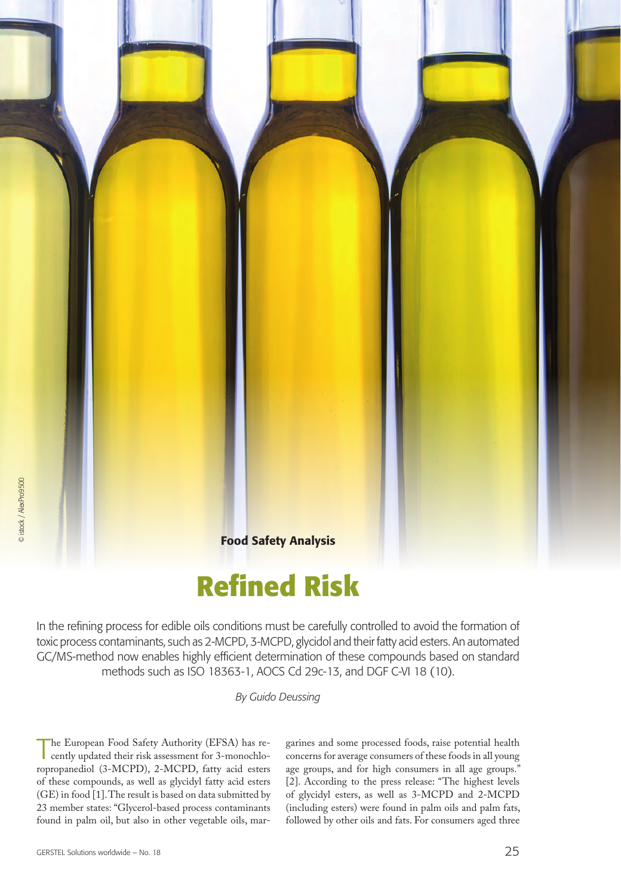

In the refining process for edible oils conditions must be carefully controlled to avoid the formation of toxic process contaminants, such as 2-MCPD, 3-MCPD, glycidol and their fatty acid esters. An automated GC/MS-method now enables highly efficient determination of these compounds based on standard methods such as ISO 18363-1, AOCS Cd 29c-13, and DGF C-VI 18 (10).

*By Guido Deussing*

The European Food Safety Authority (EFSA) has recently updated their risk assessment for 3-monochloropropanediol (3-MCPD), 2-MCPD, fatty acid esters of these compounds, as well as glycidyl fatty acid esters (GE) in food [1]. The result is based on data submitted by 23 member states: "Glycerol-based process contaminants found in palm oil, but also in other vegetable oils, margarines and some processed foods, raise potential health concerns for average consumers of these foods in all young age groups, and for high consumers in all age groups." [2]. According to the press release: "The highest levels of glycidyl esters, as well as 3-MCPD and 2-MCPD (including esters) were found in palm oils and palm fats, followed by other oils and fats. For consumers aged three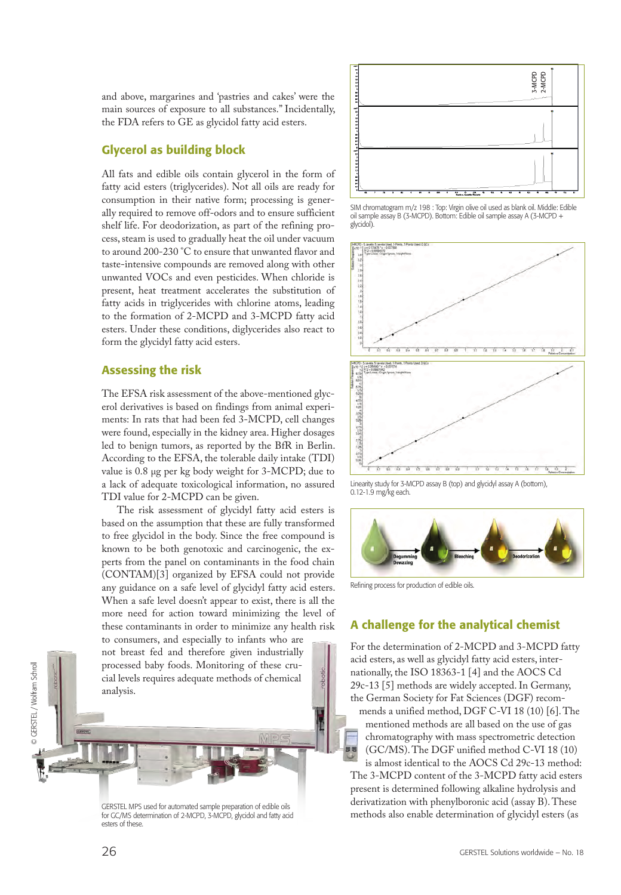and above, margarines and 'pastries and cakes' were the main sources of exposure to all substances." Incidentally, the FDA refers to GE as glycidol fatty acid esters.

### Glycerol as building block

All fats and edible oils contain glycerol in the form of fatty acid esters (triglycerides). Not all oils are ready for consumption in their native form; processing is generally required to remove off-odors and to ensure sufficient shelf life. For deodorization, as part of the refining process, steam is used to gradually heat the oil under vacuum to around 200-230 °C to ensure that unwanted flavor and taste-intensive compounds are removed along with other unwanted VOCs and even pesticides. When chloride is present, heat treatment accelerates the substitution of fatty acids in triglycerides with chlorine atoms, leading to the formation of 2-MCPD and 3-MCPD fatty acid esters. Under these conditions, diglycerides also react to form the glycidyl fatty acid esters.

### Assessing the risk

The EFSA risk assessment of the above-mentioned glycerol derivatives is based on findings from animal experiments: In rats that had been fed 3-MCPD, cell changes were found, especially in the kidney area. Higher dosages led to benign tumors, as reported by the BfR in Berlin. According to the EFSA, the tolerable daily intake (TDI) value is 0.8 µg per kg body weight for 3-MCPD; due to a lack of adequate toxicological information, no assured TDI value for 2-MCPD can be given.

The risk assessment of glycidyl fatty acid esters is based on the assumption that these are fully transformed to free glycidol in the body. Since the free compound is known to be both genotoxic and carcinogenic, the experts from the panel on contaminants in the food chain (CONTAM)[3] organized by EFSA could not provide any guidance on a safe level of glycidyl fatty acid esters. When a safe level doesn't appear to exist, there is all the more need for action toward minimizing the level of these contaminants in order to minimize any health risk

to consumers, and especially to infants who are not breast fed and therefore given industrially processed baby foods. Monitoring of these crucial levels requires adequate methods of chemical analysis.

GERSTEL MPS used for automated sample preparation of edible oils for GC/MS determination of 2-MCPD, 3-MCPD, glycidol and fatty acid esters of these.



SIM chromatogram m/z 198 : Top: Virgin olive oil used as blank oil. Middle: Edible oil sample assay B (3-MCPD). Bottom: Edible oil sample assay A (3-MCPD + glycidol).



Linearity study for 3-MCPD assay B (top) and glycidyl assay A (bottom), 0.12-1.9 mg/kg each.



Refining process for production of edible oils.

## A challenge for the analytical chemist

For the determination of 2-MCPD and 3-MCPD fatty acid esters, as well as glycidyl fatty acid esters, internationally, the ISO 18363-1 [4] and the AOCS Cd 29c-13 [5] methods are widely accepted. In Germany, the German Society for Fat Sciences (DGF) recom-

mends a unified method, DGF C-VI 18 (10) [6]. The mentioned methods are all based on the use of gas chromatography with mass spectrometric detection (GC/MS). The DGF unified method C-VI 18 (10) is almost identical to the AOCS Cd 29c-13 method:

The 3-MCPD content of the 3-MCPD fatty acid esters present is determined following alkaline hydrolysis and derivatization with phenylboronic acid (assay B). These methods also enable determination of glycidyl esters (as

© GERSTEL / Wolfram Schroll

© GERSTEL / Wolfram Schroll